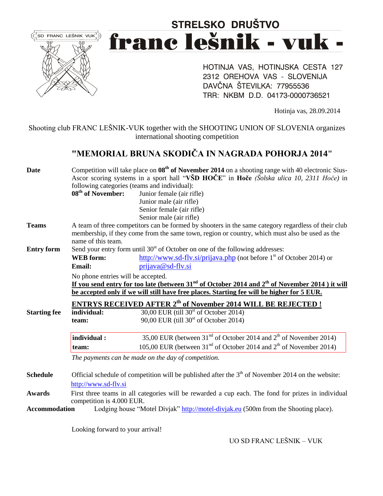

# STRELSKO DRUŠTVO franc lešnik - vuk -

HOTINJA VAS, HOTINJSKA CESTA 127 2312 OREHOVA VAS - SLOVENIJA DAVČNA ŠTEVILKA: 77955536 TRR: NKBM D.D. 04173-0000736521

Hotinja vas, 28.09.2014

Shooting club FRANC LEŠNIK-VUK together with the SHOOTING UNION OF SLOVENIA organizes international shooting competition

### **"MEMORIAL BRUNA SKODIČA IN NAGRADA POHORJA 2014"**

| Date                 | Competition will take place on $08th$ of November 2014 on a shooting range with 40 electronic Sius-<br>Ascor scoring systems in a sport hall "VŠD HOČE" in Hoče (Šolska ulica 10, 2311 Hoče) in<br>following categories (teams and individual): |                                                                                                |  |  |  |  |  |  |
|----------------------|-------------------------------------------------------------------------------------------------------------------------------------------------------------------------------------------------------------------------------------------------|------------------------------------------------------------------------------------------------|--|--|--|--|--|--|
|                      |                                                                                                                                                                                                                                                 |                                                                                                |  |  |  |  |  |  |
|                      |                                                                                                                                                                                                                                                 |                                                                                                |  |  |  |  |  |  |
|                      | 08 <sup>th</sup> of November:<br>Junior female (air rifle)                                                                                                                                                                                      |                                                                                                |  |  |  |  |  |  |
|                      |                                                                                                                                                                                                                                                 | Junior male (air rifle)                                                                        |  |  |  |  |  |  |
|                      |                                                                                                                                                                                                                                                 | Senior female (air rifle)                                                                      |  |  |  |  |  |  |
|                      |                                                                                                                                                                                                                                                 | Senior male (air rifle)                                                                        |  |  |  |  |  |  |
| <b>Teams</b>         | A team of three competitors can be formed by shooters in the same category regardless of their club                                                                                                                                             |                                                                                                |  |  |  |  |  |  |
|                      |                                                                                                                                                                                                                                                 | membership, if they come from the same town, region or country, which must also be used as the |  |  |  |  |  |  |
|                      | name of this team.                                                                                                                                                                                                                              |                                                                                                |  |  |  |  |  |  |
| <b>Entry form</b>    |                                                                                                                                                                                                                                                 | Send your entry form until $30st$ of October on one of the following addresses:                |  |  |  |  |  |  |
|                      | <b>WEB</b> form:                                                                                                                                                                                                                                | http://www.sd-flv.si/prijava.php (not before 1 <sup>st</sup> of October 2014) or               |  |  |  |  |  |  |
|                      | <b>Email:</b>                                                                                                                                                                                                                                   | prijava@sd-flv.si                                                                              |  |  |  |  |  |  |
|                      | No phone entries will be accepted.                                                                                                                                                                                                              |                                                                                                |  |  |  |  |  |  |
|                      | If you send entry for too late (between 31 <sup>nd</sup> of October 2014 and 2 <sup>th</sup> of November 2014) it will                                                                                                                          |                                                                                                |  |  |  |  |  |  |
|                      | be accepted only if we will still have free places. Starting fee will be higher for 5 EUR.                                                                                                                                                      |                                                                                                |  |  |  |  |  |  |
|                      |                                                                                                                                                                                                                                                 |                                                                                                |  |  |  |  |  |  |
|                      |                                                                                                                                                                                                                                                 | <b>ENTRYS RECEIVED AFTER 2th of November 2014 WILL BE REJECTED!</b>                            |  |  |  |  |  |  |
| <b>Starting fee</b>  | individual:                                                                                                                                                                                                                                     | 30,00 EUR (till $30st$ of October 2014)                                                        |  |  |  |  |  |  |
|                      | team:                                                                                                                                                                                                                                           | 90,00 EUR (till $30st$ of October 2014)                                                        |  |  |  |  |  |  |
|                      | individual:                                                                                                                                                                                                                                     | 35,00 EUR (between 31 <sup>nd</sup> of October 2014 and 2 <sup>th</sup> of November 2014)      |  |  |  |  |  |  |
|                      | team:                                                                                                                                                                                                                                           | 105,00 EUR (between $31nd$ of October 2014 and $2th$ of November 2014)                         |  |  |  |  |  |  |
|                      | The payments can be made on the day of competition.                                                                                                                                                                                             |                                                                                                |  |  |  |  |  |  |
|                      |                                                                                                                                                                                                                                                 |                                                                                                |  |  |  |  |  |  |
| <b>Schedule</b>      | Official schedule of competition will be published after the $3th$ of November 2014 on the website:                                                                                                                                             |                                                                                                |  |  |  |  |  |  |
|                      | http://www.sd-fly.si                                                                                                                                                                                                                            |                                                                                                |  |  |  |  |  |  |
|                      |                                                                                                                                                                                                                                                 |                                                                                                |  |  |  |  |  |  |
| <b>Awards</b>        | First three teams in all categories will be rewarded a cup each. The fond for prizes in individual                                                                                                                                              |                                                                                                |  |  |  |  |  |  |
|                      |                                                                                                                                                                                                                                                 |                                                                                                |  |  |  |  |  |  |
| <b>Accommodation</b> | competition is 4.000 EUR.                                                                                                                                                                                                                       | Lodging house "Motel Divjak" http://motel-divjak.eu (500m from the Shooting place).            |  |  |  |  |  |  |

Looking forward to your arrival!

UO SD FRANC LEŠNIK – VUK